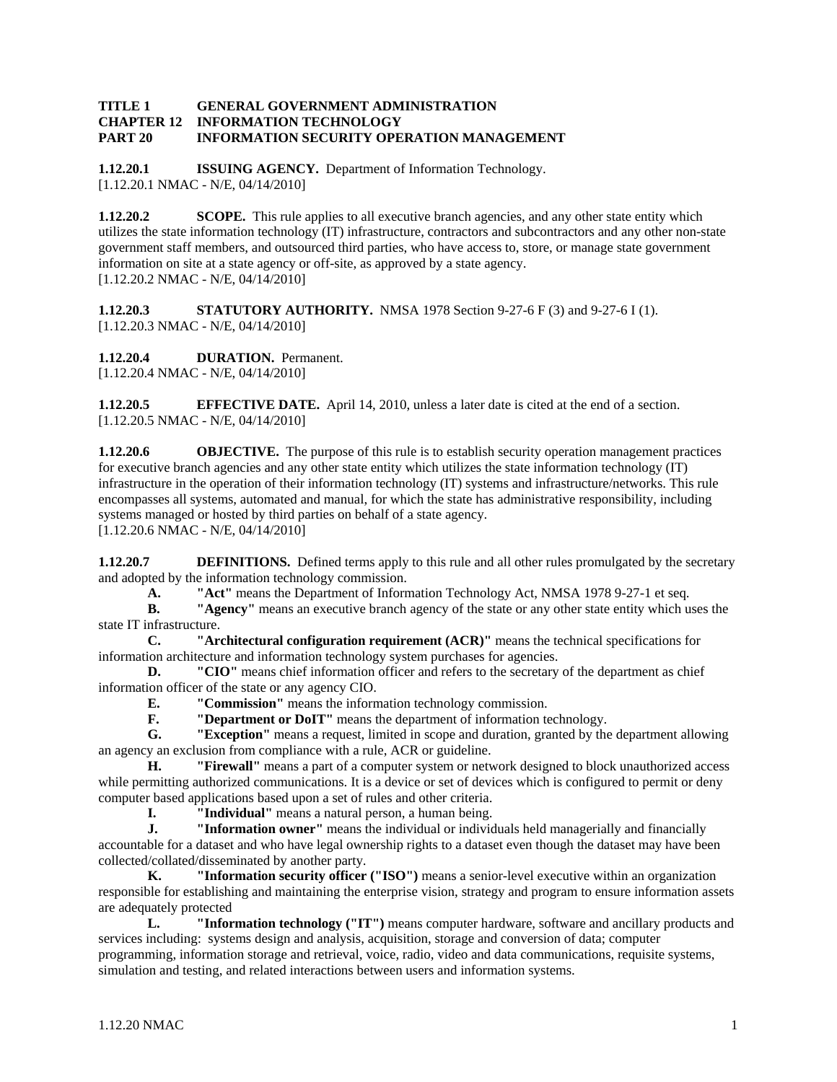#### **TITLE 1 GENERAL GOVERNMENT ADMINISTRATION<br>CHAPTER 12 INFORMATION TECHNOLOGY INFORMATION TECHNOLOGY PART 20 INFORMATION SECURITY OPERATION MANAGEMENT**

**1.12.20.1 ISSUING AGENCY.** Department of Information Technology. [1.12.20.1 NMAC - N/E, 04/14/2010]

**1.12.20.2 SCOPE.** This rule applies to all executive branch agencies, and any other state entity which utilizes the state information technology (IT) infrastructure, contractors and subcontractors and any other non-state government staff members, and outsourced third parties, who have access to, store, or manage state government information on site at a state agency or off-site, as approved by a state agency. [1.12.20.2 NMAC - N/E, 04/14/2010]

**1.12.20.3 STATUTORY AUTHORITY.** NMSA 1978 Section 9-27-6 F (3) and 9-27-6 I (1). [1.12.20.3 NMAC - N/E, 04/14/2010]

**1.12.20.4 DURATION.** Permanent. [1.12.20.4 NMAC - N/E, 04/14/2010]

**1.12.20.5 EFFECTIVE DATE.** April 14, 2010, unless a later date is cited at the end of a section. [1.12.20.5 NMAC - N/E, 04/14/2010]

**1.12.20.6 OBJECTIVE.** The purpose of this rule is to establish security operation management practices for executive branch agencies and any other state entity which utilizes the state information technology (IT) infrastructure in the operation of their information technology (IT) systems and infrastructure/networks. This rule encompasses all systems, automated and manual, for which the state has administrative responsibility, including systems managed or hosted by third parties on behalf of a state agency. [1.12.20.6 NMAC - N/E, 04/14/2010]

**1.12.20.7 DEFINITIONS.** Defined terms apply to this rule and all other rules promulgated by the secretary and adopted by the information technology commission.

**A. "Act"** means the Department of Information Technology Act, NMSA 1978 9-27-1 et seq.<br>**B. "Agency"** means an executive branch agency of the state or any other state entity which us

**B. "Agency"** means an executive branch agency of the state or any other state entity which uses the state IT infrastructure.

**C. "Architectural configuration requirement (ACR)"** means the technical specifications for information architecture and information technology system purchases for agencies.

**D.** "CIO" means chief information officer and refers to the secretary of the department as chief information officer of the state or any agency CIO.

**E. "Commission"** means the information technology commission.

**F. "Department or DoIT"** means the department of information technology.

**G. "Exception"** means a request, limited in scope and duration, granted by the department allowing an agency an exclusion from compliance with a rule, ACR or guideline.

**H. "Firewall"** means a part of a computer system or network designed to block unauthorized access while permitting authorized communications. It is a device or set of devices which is configured to permit or deny computer based applications based upon a set of rules and other criteria.

**I. "Individual"** means a natural person, a human being.

**J. "Information owner"** means the individual or individuals held managerially and financially accountable for a dataset and who have legal ownership rights to a dataset even though the dataset may have been collected/collated/disseminated by another party.

**K. "Information security officer ("ISO")** means a senior-level executive within an organization responsible for establishing and maintaining the enterprise vision, strategy and program to ensure information assets are adequately protected

**L. "Information technology ("IT")** means computer hardware, software and ancillary products and services including: systems design and analysis, acquisition, storage and conversion of data; computer programming, information storage and retrieval, voice, radio, video and data communications, requisite systems, simulation and testing, and related interactions between users and information systems.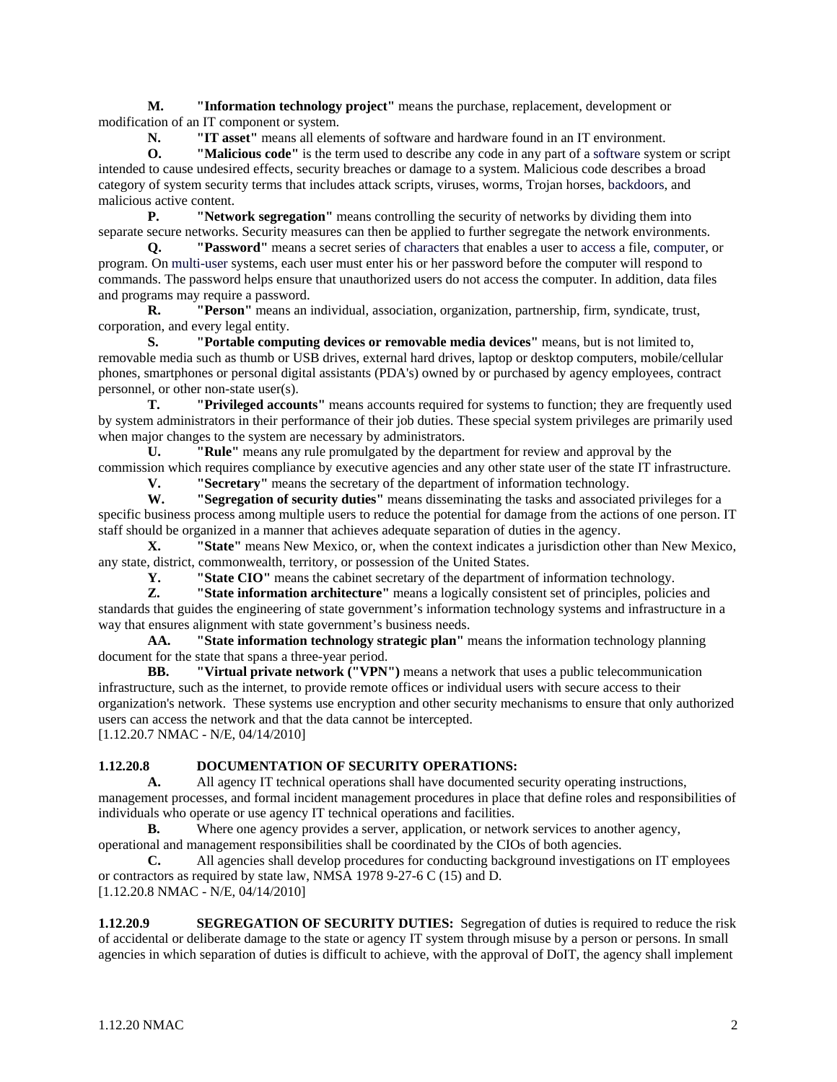**M. "Information technology project"** means the purchase, replacement, development or modification of an IT component or system.

**N. "IT asset"** means all elements of software and hardware found in an IT environment.

**O. "Malicious code"** is the term used to describe any code in any part of a software system or script intended to cause undesired effects, security breaches or damage to a system. Malicious code describes a broad category of system security terms that includes attack scripts, viruses, worms, Trojan horses, backdoors, and malicious active content.

**P. "Network segregation"** means controlling the security of networks by dividing them into separate secure networks. Security measures can then be applied to further segregate the network environments.

**Q. "Password"** means a secret series of characters that enables a user to access a file, computer, or program. On multi-user systems, each user must enter his or her password before the computer will respond to commands. The password helps ensure that unauthorized users do not access the computer. In addition, data files and programs may require a password.

**R. "Person"** means an individual, association, organization, partnership, firm, syndicate, trust, corporation, and every legal entity.

**S. "Portable computing devices or removable media devices"** means, but is not limited to, removable media such as thumb or USB drives, external hard drives, laptop or desktop computers, mobile/cellular phones, smartphones or personal digital assistants (PDA's) owned by or purchased by agency employees, contract personnel, or other non-state user(s).

**T. "Privileged accounts"** means accounts required for systems to function; they are frequently used by system administrators in their performance of their job duties. These special system privileges are primarily used when major changes to the system are necessary by administrators.

**U. "Rule"** means any rule promulgated by the department for review and approval by the commission which requires compliance by executive agencies and any other state user of the state IT infrastructure.

**V. "Secretary"** means the secretary of the department of information technology.

**W. "Segregation of security duties"** means disseminating the tasks and associated privileges for a specific business process among multiple users to reduce the potential for damage from the actions of one person. IT staff should be organized in a manner that achieves adequate separation of duties in the agency.

**X. "State"** means New Mexico, or, when the context indicates a jurisdiction other than New Mexico, any state, district, commonwealth, territory, or possession of the United States.

**Y. "State CIO"** means the cabinet secretary of the department of information technology.

**Z. "State information architecture"** means a logically consistent set of principles, policies and standards that guides the engineering of state government's information technology systems and infrastructure in a way that ensures alignment with state government's business needs.

**AA. "State information technology strategic plan"** means the information technology planning document for the state that spans a three-year period.

**BB. "Virtual private network ("VPN")** means a network that uses a public telecommunication infrastructure, such as the internet, to provide remote offices or individual users with secure access to their organization's network. These systems use encryption and other security mechanisms to ensure that only authorized users can access the network and that the data cannot be intercepted. [1.12.20.7 NMAC - N/E, 04/14/2010]

# **1.12.20.8 DOCUMENTATION OF SECURITY OPERATIONS:**

**A.** All agency IT technical operations shall have documented security operating instructions, management processes, and formal incident management procedures in place that define roles and responsibilities of individuals who operate or use agency IT technical operations and facilities.

**B.** Where one agency provides a server, application, or network services to another agency, operational and management responsibilities shall be coordinated by the CIOs of both agencies.

**C.** All agencies shall develop procedures for conducting background investigations on IT employees or contractors as required by state law, NMSA 1978 9-27-6 C (15) and D. [1.12.20.8 NMAC - N/E, 04/14/2010]

**1.12.20.9 SEGREGATION OF SECURITY DUTIES:** Segregation of duties is required to reduce the risk of accidental or deliberate damage to the state or agency IT system through misuse by a person or persons. In small agencies in which separation of duties is difficult to achieve, with the approval of DoIT, the agency shall implement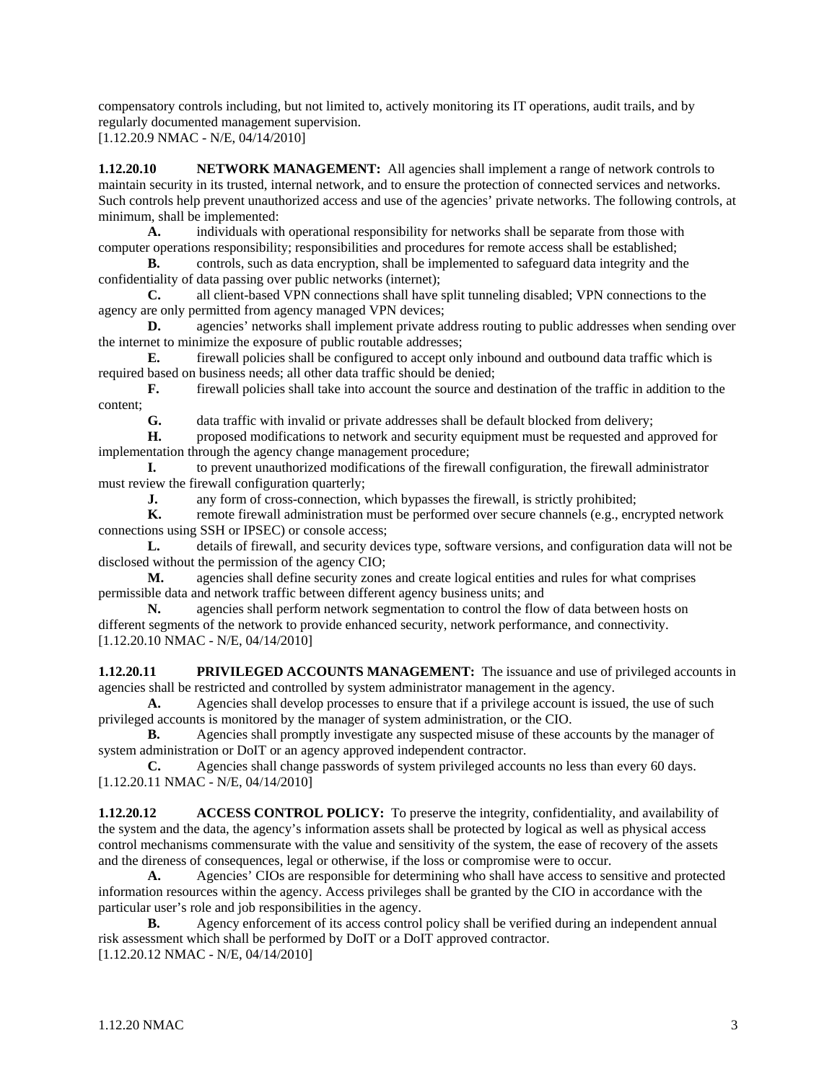compensatory controls including, but not limited to, actively monitoring its IT operations, audit trails, and by regularly documented management supervision.

[1.12.20.9 NMAC - N/E, 04/14/2010]

**1.12.20.10** NETWORK MANAGEMENT: All agencies shall implement a range of network controls to maintain security in its trusted, internal network, and to ensure the protection of connected services and networks. Such controls help prevent unauthorized access and use of the agencies' private networks. The following controls, at minimum, shall be implemented:

**A.** individuals with operational responsibility for networks shall be separate from those with computer operations responsibility; responsibilities and procedures for remote access shall be established;

**B.** controls, such as data encryption, shall be implemented to safeguard data integrity and the confidentiality of data passing over public networks (internet);

**C.** all client-based VPN connections shall have split tunneling disabled; VPN connections to the agency are only permitted from agency managed VPN devices;

**D.** agencies' networks shall implement private address routing to public addresses when sending over the internet to minimize the exposure of public routable addresses;

**E.** firewall policies shall be configured to accept only inbound and outbound data traffic which is required based on business needs; all other data traffic should be denied;

**F.** firewall policies shall take into account the source and destination of the traffic in addition to the content;<br>G.

data traffic with invalid or private addresses shall be default blocked from delivery;

**H.** proposed modifications to network and security equipment must be requested and approved for implementation through the agency change management procedure;

**I.** to prevent unauthorized modifications of the firewall configuration, the firewall administrator must review the firewall configuration quarterly;

**J.** any form of cross-connection, which bypasses the firewall, is strictly prohibited;

**K.** remote firewall administration must be performed over secure channels (e.g., encrypted network connections using SSH or IPSEC) or console access;

**L.** details of firewall, and security devices type, software versions, and configuration data will not be disclosed without the permission of the agency CIO;

**M.** agencies shall define security zones and create logical entities and rules for what comprises permissible data and network traffic between different agency business units; and

**N.** agencies shall perform network segmentation to control the flow of data between hosts on different segments of the network to provide enhanced security, network performance, and connectivity. [1.12.20.10 NMAC - N/E, 04/14/2010]

**1.12.20.11** PRIVILEGED ACCOUNTS MANAGEMENT: The issuance and use of privileged accounts in agencies shall be restricted and controlled by system administrator management in the agency.

**A.** Agencies shall develop processes to ensure that if a privilege account is issued, the use of such privileged accounts is monitored by the manager of system administration, or the CIO.

**B.** Agencies shall promptly investigate any suspected misuse of these accounts by the manager of system administration or DoIT or an agency approved independent contractor.

**C.** Agencies shall change passwords of system privileged accounts no less than every 60 days. [1.12.20.11 NMAC - N/E, 04/14/2010]

**1.12.20.12** ACCESS CONTROL POLICY: To preserve the integrity, confidentiality, and availability of the system and the data, the agency's information assets shall be protected by logical as well as physical access control mechanisms commensurate with the value and sensitivity of the system, the ease of recovery of the assets and the direness of consequences, legal or otherwise, if the loss or compromise were to occur.

 **A.** Agencies' CIOs are responsible for determining who shall have access to sensitive and protected information resources within the agency. Access privileges shall be granted by the CIO in accordance with the particular user's role and job responsibilities in the agency.

**B.** Agency enforcement of its access control policy shall be verified during an independent annual risk assessment which shall be performed by DoIT or a DoIT approved contractor. [1.12.20.12 NMAC - N/E, 04/14/2010]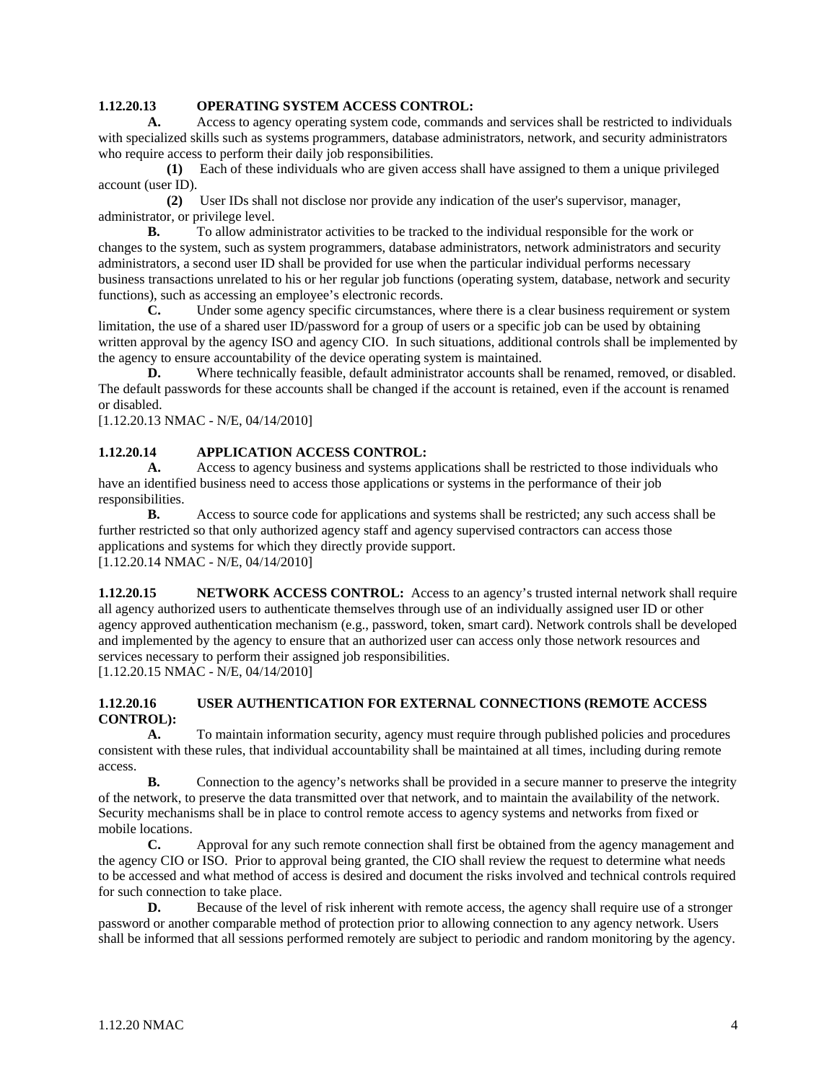## **1.12.20.13 OPERATING SYSTEM ACCESS CONTROL:**

 **A.** Access to agency operating system code, commands and services shall be restricted to individuals with specialized skills such as systems programmers, database administrators, network, and security administrators who require access to perform their daily job responsibilities.

 **(1)** Each of these individuals who are given access shall have assigned to them a unique privileged account (user ID).

 **(2)** User IDs shall not disclose nor provide any indication of the user's supervisor, manager, administrator, or privilege level.

**B.** To allow administrator activities to be tracked to the individual responsible for the work or changes to the system, such as system programmers, database administrators, network administrators and security administrators, a second user ID shall be provided for use when the particular individual performs necessary business transactions unrelated to his or her regular job functions (operating system, database, network and security functions), such as accessing an employee's electronic records.

**C.** Under some agency specific circumstances, where there is a clear business requirement or system limitation, the use of a shared user ID/password for a group of users or a specific job can be used by obtaining written approval by the agency ISO and agency CIO. In such situations, additional controls shall be implemented by the agency to ensure accountability of the device operating system is maintained.

**D.** Where technically feasible, default administrator accounts shall be renamed, removed, or disabled. The default passwords for these accounts shall be changed if the account is retained, even if the account is renamed or disabled.

[1.12.20.13 NMAC - N/E, 04/14/2010]

# **1.12.20.14 APPLICATION ACCESS CONTROL:**

 **A.** Access to agency business and systems applications shall be restricted to those individuals who have an identified business need to access those applications or systems in the performance of their job responsibilities.

**B.** Access to source code for applications and systems shall be restricted; any such access shall be further restricted so that only authorized agency staff and agency supervised contractors can access those applications and systems for which they directly provide support. [1.12.20.14 NMAC - N/E, 04/14/2010]

**1.12.20.15** NETWORK ACCESS CONTROL: Access to an agency's trusted internal network shall require all agency authorized users to authenticate themselves through use of an individually assigned user ID or other agency approved authentication mechanism (e.g., password, token, smart card). Network controls shall be developed and implemented by the agency to ensure that an authorized user can access only those network resources and services necessary to perform their assigned job responsibilities. [1.12.20.15 NMAC - N/E, 04/14/2010]

#### **1.12.20.16 USER AUTHENTICATION FOR EXTERNAL CONNECTIONS (REMOTE ACCESS CONTROL):**

 **A.** To maintain information security, agency must require through published policies and procedures consistent with these rules, that individual accountability shall be maintained at all times, including during remote access.

**B.** Connection to the agency's networks shall be provided in a secure manner to preserve the integrity of the network, to preserve the data transmitted over that network, and to maintain the availability of the network. Security mechanisms shall be in place to control remote access to agency systems and networks from fixed or mobile locations.

 **C.** Approval for any such remote connection shall first be obtained from the agency management and the agency CIO or ISO. Prior to approval being granted, the CIO shall review the request to determine what needs to be accessed and what method of access is desired and document the risks involved and technical controls required for such connection to take place.

**D.** Because of the level of risk inherent with remote access, the agency shall require use of a stronger password or another comparable method of protection prior to allowing connection to any agency network. Users shall be informed that all sessions performed remotely are subject to periodic and random monitoring by the agency.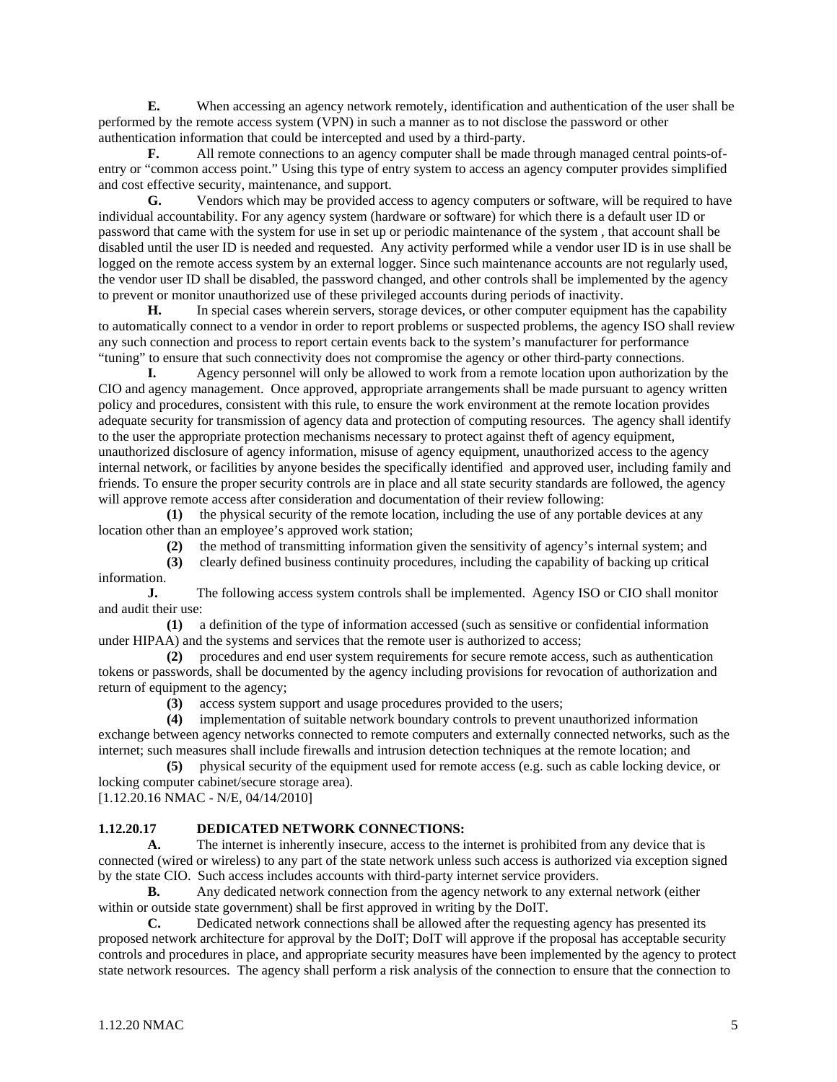**E.** When accessing an agency network remotely, identification and authentication of the user shall be performed by the remote access system (VPN) in such a manner as to not disclose the password or other authentication information that could be intercepted and used by a third-party.

**F.** All remote connections to an agency computer shall be made through managed central points-ofentry or "common access point." Using this type of entry system to access an agency computer provides simplified and cost effective security, maintenance, and support.

G. Vendors which may be provided access to agency computers or software, will be required to have individual accountability. For any agency system (hardware or software) for which there is a default user ID or password that came with the system for use in set up or periodic maintenance of the system , that account shall be disabled until the user ID is needed and requested. Any activity performed while a vendor user ID is in use shall be logged on the remote access system by an external logger. Since such maintenance accounts are not regularly used, the vendor user ID shall be disabled, the password changed, and other controls shall be implemented by the agency to prevent or monitor unauthorized use of these privileged accounts during periods of inactivity.

 **H.** In special cases wherein servers, storage devices, or other computer equipment has the capability to automatically connect to a vendor in order to report problems or suspected problems, the agency ISO shall review any such connection and process to report certain events back to the system's manufacturer for performance "tuning" to ensure that such connectivity does not compromise the agency or other third-party connections.

 **I.** Agency personnel will only be allowed to work from a remote location upon authorization by the CIO and agency management. Once approved, appropriate arrangements shall be made pursuant to agency written policy and procedures, consistent with this rule, to ensure the work environment at the remote location provides adequate security for transmission of agency data and protection of computing resources. The agency shall identify to the user the appropriate protection mechanisms necessary to protect against theft of agency equipment, unauthorized disclosure of agency information, misuse of agency equipment, unauthorized access to the agency internal network, or facilities by anyone besides the specifically identified and approved user, including family and friends. To ensure the proper security controls are in place and all state security standards are followed, the agency will approve remote access after consideration and documentation of their review following:

 **(1)** the physical security of the remote location, including the use of any portable devices at any location other than an employee's approved work station;

**(2)** the method of transmitting information given the sensitivity of agency's internal system; and

 **(3)** clearly defined business continuity procedures, including the capability of backing up critical information.

**J.** The following access system controls shall be implemented. Agency ISO or CIO shall monitor and audit their use:

 **(1)** a definition of the type of information accessed (such as sensitive or confidential information under HIPAA) and the systems and services that the remote user is authorized to access;

 **(2)** procedures and end user system requirements for secure remote access, such as authentication tokens or passwords, shall be documented by the agency including provisions for revocation of authorization and return of equipment to the agency;

**(3)** access system support and usage procedures provided to the users;

 **(4)** implementation of suitable network boundary controls to prevent unauthorized information exchange between agency networks connected to remote computers and externally connected networks, such as the internet; such measures shall include firewalls and intrusion detection techniques at the remote location; and

 **(5)** physical security of the equipment used for remote access (e.g. such as cable locking device, or locking computer cabinet/secure storage area).

[1.12.20.16 NMAC - N/E, 04/14/2010]

### **1.12.20.17 DEDICATED NETWORK CONNECTIONS:**

 **A.** The internet is inherently insecure, access to the internet is prohibited from any device that is connected (wired or wireless) to any part of the state network unless such access is authorized via exception signed by the state CIO. Such access includes accounts with third-party internet service providers.

**B.** Any dedicated network connection from the agency network to any external network (either within or outside state government) shall be first approved in writing by the DoIT.

 **C.** Dedicated network connections shall be allowed after the requesting agency has presented its proposed network architecture for approval by the DoIT; DoIT will approve if the proposal has acceptable security controls and procedures in place, and appropriate security measures have been implemented by the agency to protect state network resources. The agency shall perform a risk analysis of the connection to ensure that the connection to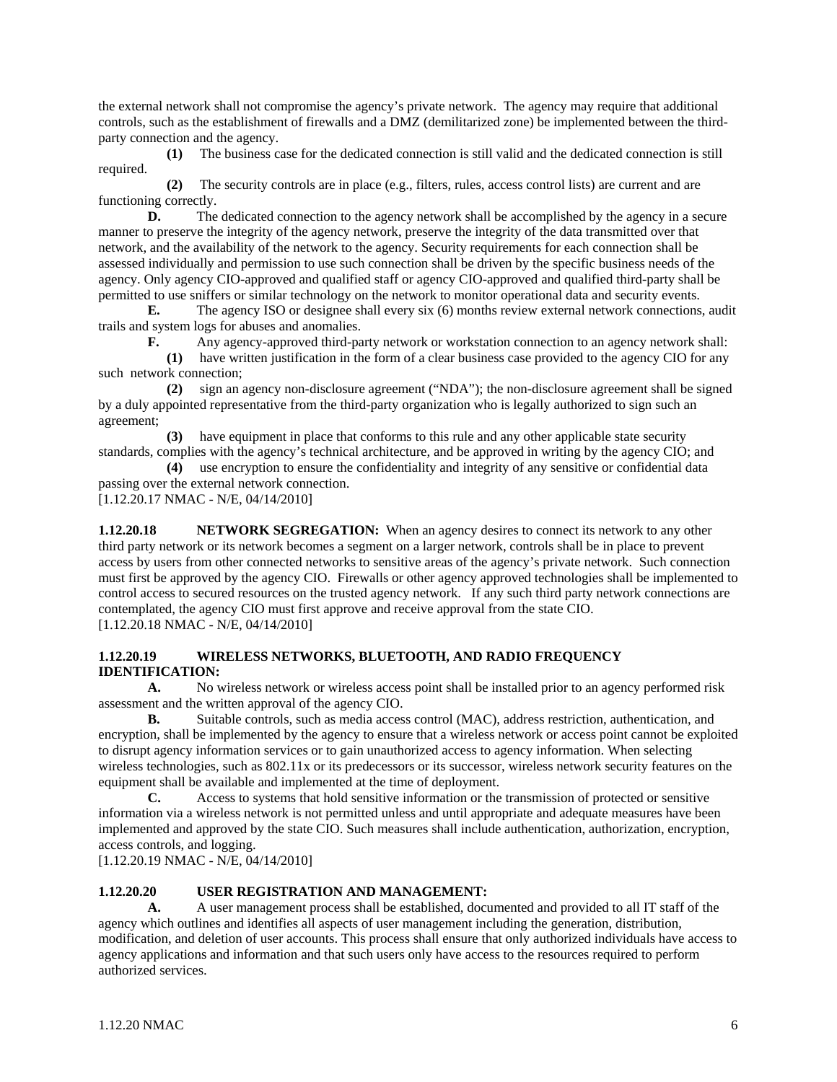the external network shall not compromise the agency's private network. The agency may require that additional controls, such as the establishment of firewalls and a DMZ (demilitarized zone) be implemented between the thirdparty connection and the agency.

 **(1)** The business case for the dedicated connection is still valid and the dedicated connection is still required.

 **(2)** The security controls are in place (e.g., filters, rules, access control lists) are current and are functioning correctly.

**D.** The dedicated connection to the agency network shall be accomplished by the agency in a secure manner to preserve the integrity of the agency network, preserve the integrity of the data transmitted over that network, and the availability of the network to the agency. Security requirements for each connection shall be assessed individually and permission to use such connection shall be driven by the specific business needs of the agency. Only agency CIO-approved and qualified staff or agency CIO-approved and qualified third-party shall be permitted to use sniffers or similar technology on the network to monitor operational data and security events.

**E.** The agency ISO or designee shall every six (6) months review external network connections, audit trails and system logs for abuses and anomalies.

 **F.** Any agency-approved third-party network or workstation connection to an agency network shall:

 **(1)** have written justification in the form of a clear business case provided to the agency CIO for any such network connection;

 **(2)** sign an agency non-disclosure agreement ("NDA"); the non-disclosure agreement shall be signed by a duly appointed representative from the third-party organization who is legally authorized to sign such an agreement;

 **(3)** have equipment in place that conforms to this rule and any other applicable state security standards, complies with the agency's technical architecture, and be approved in writing by the agency CIO; and **(4)** use encryption to ensure the confidentiality and integrity of any sensitive or confidential data

passing over the external network connection.

[1.12.20.17 NMAC - N/E, 04/14/2010]

**1.12.20.18** NETWORK SEGREGATION: When an agency desires to connect its network to any other third party network or its network becomes a segment on a larger network, controls shall be in place to prevent access by users from other connected networks to sensitive areas of the agency's private network. Such connection must first be approved by the agency CIO. Firewalls or other agency approved technologies shall be implemented to control access to secured resources on the trusted agency network.If any such third party network connections are contemplated, the agency CIO must first approve and receive approval from the state CIO. [1.12.20.18 NMAC - N/E, 04/14/2010]

### **1.12.20.19 WIRELESS NETWORKS, BLUETOOTH, AND RADIO FREQUENCY IDENTIFICATION:**

 **A.** No wireless network or wireless access point shall be installed prior to an agency performed risk assessment and the written approval of the agency CIO.

**B.** Suitable controls, such as media access control (MAC), address restriction, authentication, and encryption, shall be implemented by the agency to ensure that a wireless network or access point cannot be exploited to disrupt agency information services or to gain unauthorized access to agency information. When selecting wireless technologies, such as 802.11x or its predecessors or its successor, wireless network security features on the equipment shall be available and implemented at the time of deployment.

 **C.** Access to systems that hold sensitive information or the transmission of protected or sensitive information via a wireless network is not permitted unless and until appropriate and adequate measures have been implemented and approved by the state CIO. Such measures shall include authentication, authorization, encryption, access controls, and logging.

[1.12.20.19 NMAC - N/E, 04/14/2010]

### **1.12.20.20 USER REGISTRATION AND MANAGEMENT:**

 **A.** A user management process shall be established, documented and provided to all IT staff of the agency which outlines and identifies all aspects of user management including the generation, distribution, modification, and deletion of user accounts. This process shall ensure that only authorized individuals have access to agency applications and information and that such users only have access to the resources required to perform authorized services.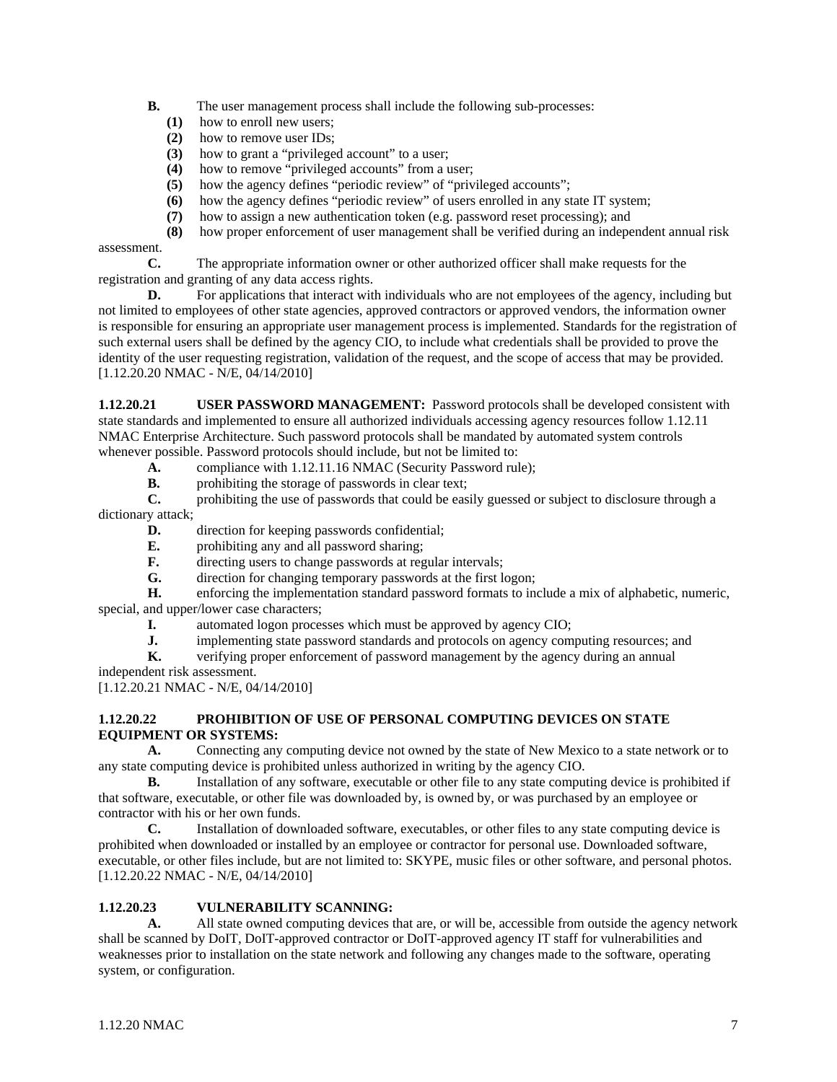- **B.** The user management process shall include the following sub-processes:
	- **(1)** how to enroll new users;
	- **(2)** how to remove user IDs;
	- **(3)** how to grant a "privileged account" to a user;
	- **(4)** how to remove "privileged accounts" from a user;
	- **(5)** how the agency defines "periodic review" of "privileged accounts";
	- **(6)** how the agency defines "periodic review" of users enrolled in any state IT system;
	- **(7)** how to assign a new authentication token (e.g. password reset processing); and
	- **(8)** how proper enforcement of user management shall be verified during an independent annual risk

assessment.

 **C.** The appropriate information owner or other authorized officer shall make requests for the registration and granting of any data access rights.

**D.** For applications that interact with individuals who are not employees of the agency, including but not limited to employees of other state agencies, approved contractors or approved vendors, the information owner is responsible for ensuring an appropriate user management process is implemented. Standards for the registration of such external users shall be defined by the agency CIO, to include what credentials shall be provided to prove the identity of the user requesting registration, validation of the request, and the scope of access that may be provided. [1.12.20.20 NMAC - N/E, 04/14/2010]

**1.12.20.21 USER PASSWORD MANAGEMENT:** Password protocols shall be developed consistent with state standards and implemented to ensure all authorized individuals accessing agency resources follow 1.12.11 NMAC Enterprise Architecture. Such password protocols shall be mandated by automated system controls whenever possible. Password protocols should include, but not be limited to:

- **A.** compliance with 1.12.11.16 NMAC (Security Password rule);
- **B.** prohibiting the storage of passwords in clear text;

**C.** prohibiting the use of passwords that could be easily guessed or subject to disclosure through a dictionary attack;

- **D.** direction for keeping passwords confidential;
- **E.** prohibiting any and all password sharing;
- **F.** directing users to change passwords at regular intervals;
- **G.** direction for changing temporary passwords at the first logon;

**H.** enforcing the implementation standard password formats to include a mix of alphabetic, numeric, special, and upper/lower case characters;

- **I.** automated logon processes which must be approved by agency CIO;
- **J.** implementing state password standards and protocols on agency computing resources; and verifying proper enforcement of password management by the agency during an annual

 **K.** verifying proper enforcement of password management by the agency during an annual

independent risk assessment.

[1.12.20.21 NMAC - N/E, 04/14/2010]

# **1.12.20.22 PROHIBITION OF USE OF PERSONAL COMPUTING DEVICES ON STATE EQUIPMENT OR SYSTEMS:**

 **A.** Connecting any computing device not owned by the state of New Mexico to a state network or to any state computing device is prohibited unless authorized in writing by the agency CIO.

**B.** Installation of any software, executable or other file to any state computing device is prohibited if that software, executable, or other file was downloaded by, is owned by, or was purchased by an employee or contractor with his or her own funds.

 **C.** Installation of downloaded software, executables, or other files to any state computing device is prohibited when downloaded or installed by an employee or contractor for personal use. Downloaded software, executable, or other files include, but are not limited to: SKYPE, music files or other software, and personal photos. [1.12.20.22 NMAC - N/E, 04/14/2010]

### **1.12.20.23 VULNERABILITY SCANNING:**

 **A.** All state owned computing devices that are, or will be, accessible from outside the agency network shall be scanned by DoIT, DoIT-approved contractor or DoIT-approved agency IT staff for vulnerabilities and weaknesses prior to installation on the state network and following any changes made to the software, operating system, or configuration.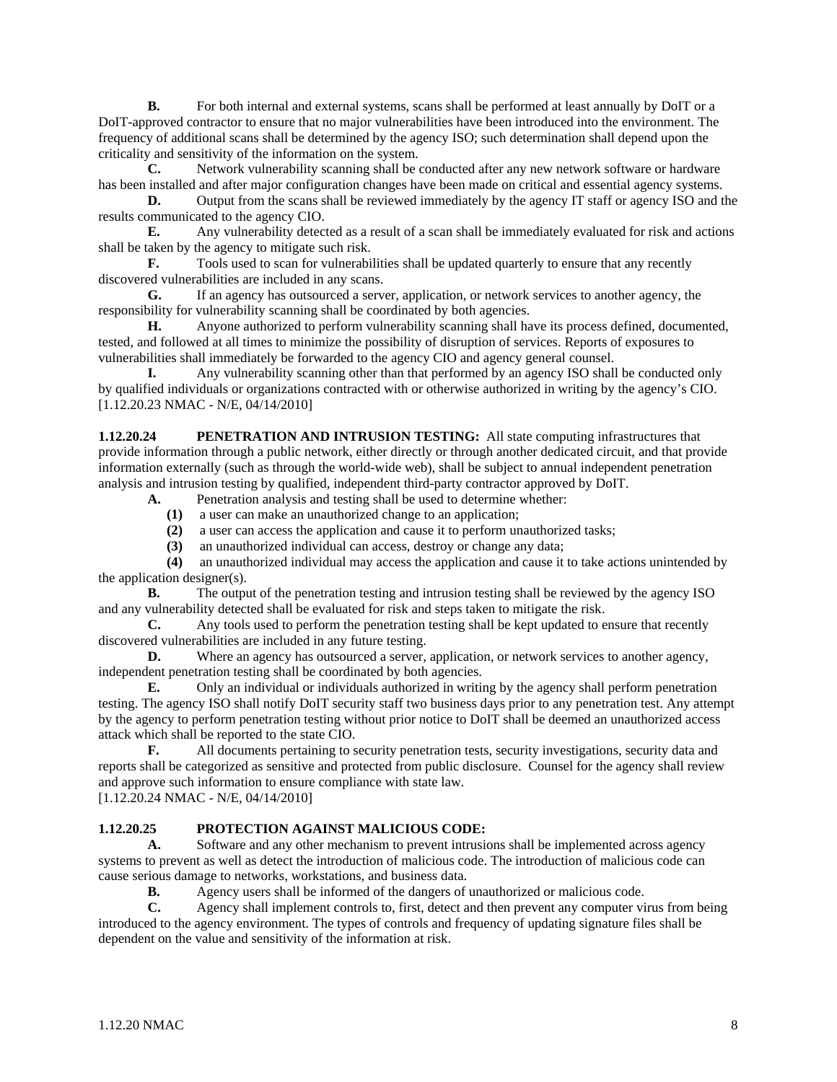**B.** For both internal and external systems, scans shall be performed at least annually by DoIT or a DoIT-approved contractor to ensure that no major vulnerabilities have been introduced into the environment. The frequency of additional scans shall be determined by the agency ISO; such determination shall depend upon the criticality and sensitivity of the information on the system.

**C.** Network vulnerability scanning shall be conducted after any new network software or hardware has been installed and after major configuration changes have been made on critical and essential agency systems.

**D.** Output from the scans shall be reviewed immediately by the agency IT staff or agency ISO and the results communicated to the agency CIO.

**E.** Any vulnerability detected as a result of a scan shall be immediately evaluated for risk and actions shall be taken by the agency to mitigate such risk.

**F.** Tools used to scan for vulnerabilities shall be updated quarterly to ensure that any recently discovered vulnerabilities are included in any scans.<br> **G.** If an agency has outsourced a serve

 **G.** If an agency has outsourced a server, application, or network services to another agency, the responsibility for vulnerability scanning shall be coordinated by both agencies.

 **H.** Anyone authorized to perform vulnerability scanning shall have its process defined, documented, tested, and followed at all times to minimize the possibility of disruption of services. Reports of exposures to vulnerabilities shall immediately be forwarded to the agency CIO and agency general counsel.

 **I.** Any vulnerability scanning other than that performed by an agency ISO shall be conducted only by qualified individuals or organizations contracted with or otherwise authorized in writing by the agency's CIO. [1.12.20.23 NMAC - N/E, 04/14/2010]

**1.12.20.24** PENETRATION AND INTRUSION TESTING: All state computing infrastructures that provide information through a public network, either directly or through another dedicated circuit, and that provide information externally (such as through the world-wide web), shall be subject to annual independent penetration analysis and intrusion testing by qualified, independent third-party contractor approved by DoIT.

- **A.** Penetration analysis and testing shall be used to determine whether:
	- **(1)** a user can make an unauthorized change to an application;
	- **(2)** a user can access the application and cause it to perform unauthorized tasks;
	- **(3)** an unauthorized individual can access, destroy or change any data;

 **(4)** an unauthorized individual may access the application and cause it to take actions unintended by the application designer(s).

**B.** The output of the penetration testing and intrusion testing shall be reviewed by the agency ISO and any vulnerability detected shall be evaluated for risk and steps taken to mitigate the risk.

 **C.** Any tools used to perform the penetration testing shall be kept updated to ensure that recently discovered vulnerabilities are included in any future testing.

**D.** Where an agency has outsourced a server, application, or network services to another agency, independent penetration testing shall be coordinated by both agencies.

**E.** Only an individual or individuals authorized in writing by the agency shall perform penetration testing. The agency ISO shall notify DoIT security staff two business days prior to any penetration test. Any attempt by the agency to perform penetration testing without prior notice to DoIT shall be deemed an unauthorized access attack which shall be reported to the state CIO.

**F.** All documents pertaining to security penetration tests, security investigations, security data and reports shall be categorized as sensitive and protected from public disclosure. Counsel for the agency shall review and approve such information to ensure compliance with state law.

[1.12.20.24 NMAC - N/E, 04/14/2010]

### **1.12.20.25 PROTECTION AGAINST MALICIOUS CODE:**

 **A.** Software and any other mechanism to prevent intrusions shall be implemented across agency systems to prevent as well as detect the introduction of malicious code. The introduction of malicious code can cause serious damage to networks, workstations, and business data.

**B.** Agency users shall be informed of the dangers of unauthorized or malicious code.

 **C.** Agency shall implement controls to, first, detect and then prevent any computer virus from being introduced to the agency environment. The types of controls and frequency of updating signature files shall be dependent on the value and sensitivity of the information at risk.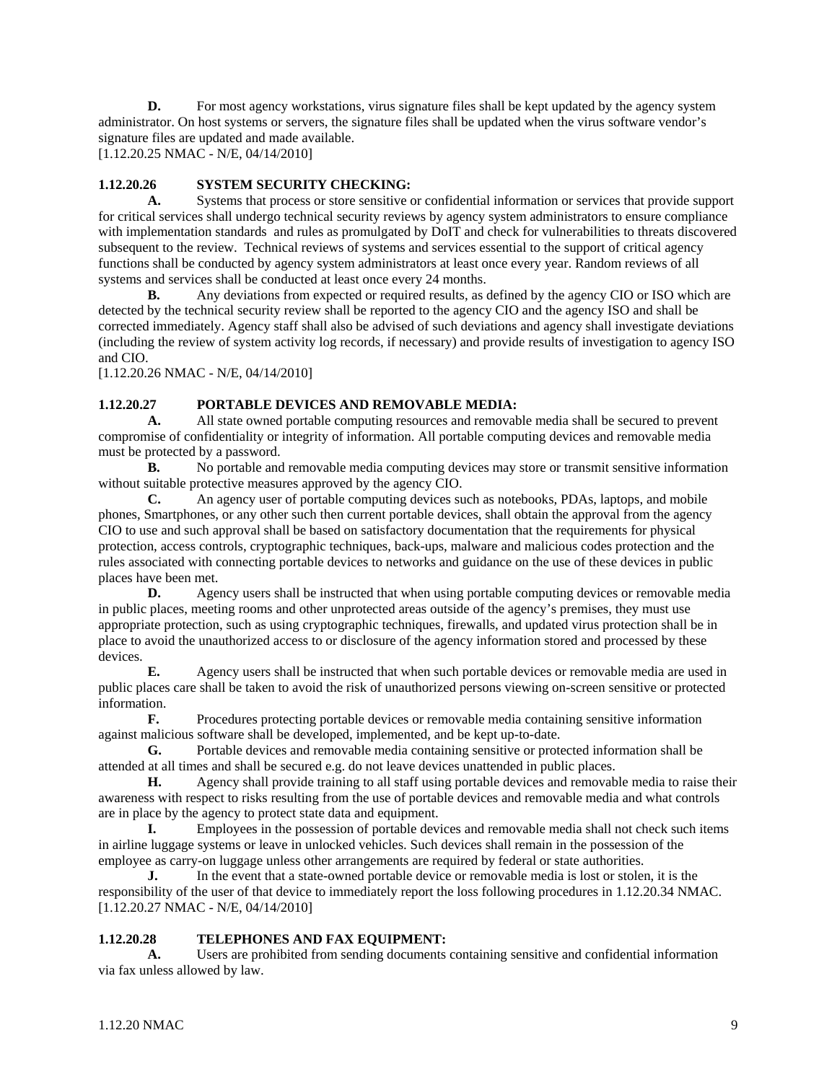**D.** For most agency workstations, virus signature files shall be kept updated by the agency system administrator. On host systems or servers, the signature files shall be updated when the virus software vendor's signature files are updated and made available.

[1.12.20.25 NMAC - N/E, 04/14/2010]

## **1.12.20.26 SYSTEM SECURITY CHECKING:**

 **A.** Systems that process or store sensitive or confidential information or services that provide support for critical services shall undergo technical security reviews by agency system administrators to ensure compliance with implementation standards and rules as promulgated by DoIT and check for vulnerabilities to threats discovered subsequent to the review. Technical reviews of systems and services essential to the support of critical agency functions shall be conducted by agency system administrators at least once every year. Random reviews of all systems and services shall be conducted at least once every 24 months.

**B.** Any deviations from expected or required results, as defined by the agency CIO or ISO which are detected by the technical security review shall be reported to the agency CIO and the agency ISO and shall be corrected immediately. Agency staff shall also be advised of such deviations and agency shall investigate deviations (including the review of system activity log records, if necessary) and provide results of investigation to agency ISO and CIO.

[1.12.20.26 NMAC - N/E, 04/14/2010]

# **1.12.20.27 PORTABLE DEVICES AND REMOVABLE MEDIA:**

 **A.** All state owned portable computing resources and removable media shall be secured to prevent compromise of confidentiality or integrity of information. All portable computing devices and removable media must be protected by a password.

**B.** No portable and removable media computing devices may store or transmit sensitive information without suitable protective measures approved by the agency CIO.

 **C.** An agency user of portable computing devices such as notebooks, PDAs, laptops, and mobile phones, Smartphones, or any other such then current portable devices, shall obtain the approval from the agency CIO to use and such approval shall be based on satisfactory documentation that the requirements for physical protection, access controls, cryptographic techniques, back-ups, malware and malicious codes protection and the rules associated with connecting portable devices to networks and guidance on the use of these devices in public places have been met.

**D.** Agency users shall be instructed that when using portable computing devices or removable media in public places, meeting rooms and other unprotected areas outside of the agency's premises, they must use appropriate protection, such as using cryptographic techniques, firewalls, and updated virus protection shall be in place to avoid the unauthorized access to or disclosure of the agency information stored and processed by these devices.

**E.** Agency users shall be instructed that when such portable devices or removable media are used in public places care shall be taken to avoid the risk of unauthorized persons viewing on-screen sensitive or protected information.

**F.** Procedures protecting portable devices or removable media containing sensitive information against malicious software shall be developed, implemented, and be kept up-to-date.

**G.** Portable devices and removable media containing sensitive or protected information shall be attended at all times and shall be secured e.g. do not leave devices unattended in public places.

**H.** Agency shall provide training to all staff using portable devices and removable media to raise their awareness with respect to risks resulting from the use of portable devices and removable media and what controls are in place by the agency to protect state data and equipment.

 **I.** Employees in the possession of portable devices and removable media shall not check such items in airline luggage systems or leave in unlocked vehicles. Such devices shall remain in the possession of the employee as carry-on luggage unless other arrangements are required by federal or state authorities.

**J.** In the event that a state-owned portable device or removable media is lost or stolen, it is the responsibility of the user of that device to immediately report the loss following procedures in 1.12.20.34 NMAC. [1.12.20.27 NMAC - N/E, 04/14/2010]

### **1.12.20.28 TELEPHONES AND FAX EQUIPMENT:**

 **A.** Users are prohibited from sending documents containing sensitive and confidential information via fax unless allowed by law.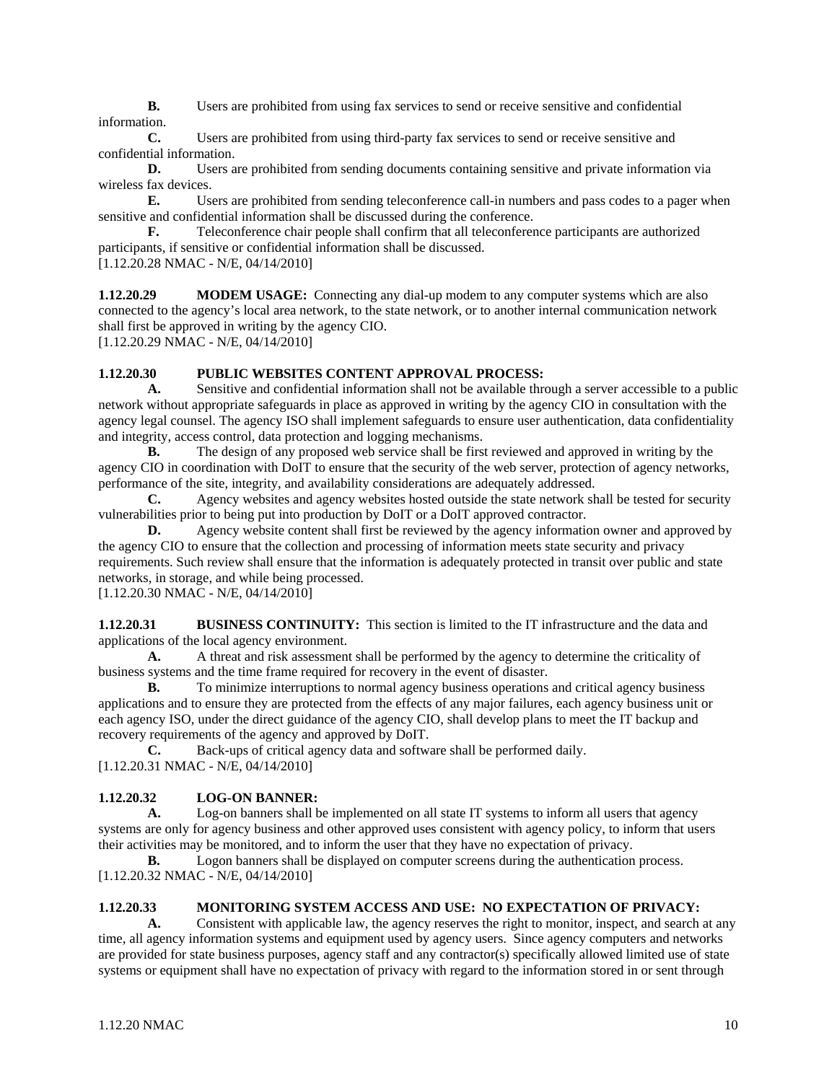**B.** Users are prohibited from using fax services to send or receive sensitive and confidential information.

 **C.** Users are prohibited from using third-party fax services to send or receive sensitive and confidential information.

**D.** Users are prohibited from sending documents containing sensitive and private information via wireless fax devices.

**E.** Users are prohibited from sending teleconference call-in numbers and pass codes to a pager when sensitive and confidential information shall be discussed during the conference.

**F.** Teleconference chair people shall confirm that all teleconference participants are authorized participants, if sensitive or confidential information shall be discussed. [1.12.20.28 NMAC - N/E, 04/14/2010]

**1.12.20.29 MODEM USAGE:** Connecting any dial-up modem to any computer systems which are also connected to the agency's local area network, to the state network, or to another internal communication network shall first be approved in writing by the agency CIO.

[1.12.20.29 NMAC - N/E, 04/14/2010]

### **1.12.20.30 PUBLIC WEBSITES CONTENT APPROVAL PROCESS:**

 **A.** Sensitive and confidential information shall not be available through a server accessible to a public network without appropriate safeguards in place as approved in writing by the agency CIO in consultation with the agency legal counsel. The agency ISO shall implement safeguards to ensure user authentication, data confidentiality and integrity, access control, data protection and logging mechanisms.

**B.** The design of any proposed web service shall be first reviewed and approved in writing by the agency CIO in coordination with DoIT to ensure that the security of the web server, protection of agency networks, performance of the site, integrity, and availability considerations are adequately addressed.

**C.** Agency websites and agency websites hosted outside the state network shall be tested for security vulnerabilities prior to being put into production by DoIT or a DoIT approved contractor.

**D.** Agency website content shall first be reviewed by the agency information owner and approved by the agency CIO to ensure that the collection and processing of information meets state security and privacy requirements. Such review shall ensure that the information is adequately protected in transit over public and state networks, in storage, and while being processed.

[1.12.20.30 NMAC - N/E, 04/14/2010]

**1.12.20.31 BUSINESS CONTINUITY:** This section is limited to the IT infrastructure and the data and applications of the local agency environment.

 **A.** A threat and risk assessment shall be performed by the agency to determine the criticality of business systems and the time frame required for recovery in the event of disaster.

**B.** To minimize interruptions to normal agency business operations and critical agency business applications and to ensure they are protected from the effects of any major failures, each agency business unit or each agency ISO, under the direct guidance of the agency CIO, shall develop plans to meet the IT backup and recovery requirements of the agency and approved by DoIT.

 **C.** Back-ups of critical agency data and software shall be performed daily. [1.12.20.31 NMAC - N/E, 04/14/2010]

### **1.12.20.32 LOG-ON BANNER:**

 **A.** Log-on banners shall be implemented on all state IT systems to inform all users that agency systems are only for agency business and other approved uses consistent with agency policy, to inform that users their activities may be monitored, and to inform the user that they have no expectation of privacy.

**B.** Logon banners shall be displayed on computer screens during the authentication process. [1.12.20.32 NMAC - N/E, 04/14/2010]

### **1.12.20.33 MONITORING SYSTEM ACCESS AND USE: NO EXPECTATION OF PRIVACY:**

 **A.** Consistent with applicable law, the agency reserves the right to monitor, inspect, and search at any time, all agency information systems and equipment used by agency users. Since agency computers and networks are provided for state business purposes, agency staff and any contractor(s) specifically allowed limited use of state systems or equipment shall have no expectation of privacy with regard to the information stored in or sent through